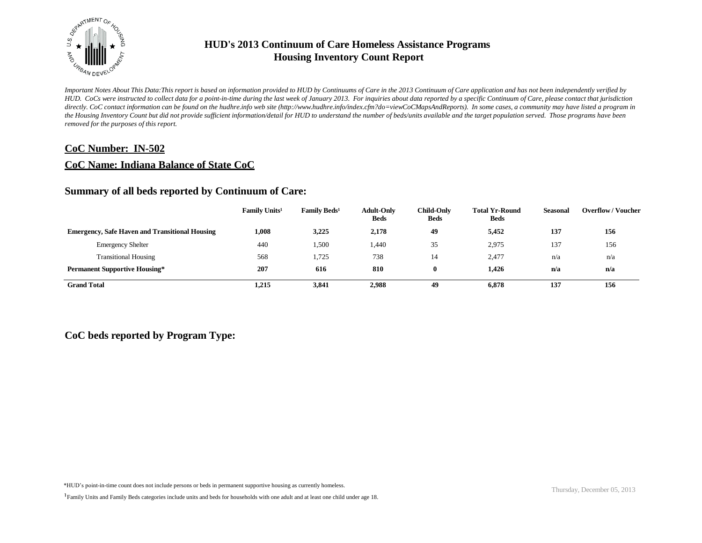

*Important Notes About This Data:This report is based on information provided to HUD by Continuums of Care in the 2013 Continuum of Care application and has not been independently verified by HUD. CoCs were instructed to collect data for a point-in-time during the last week of January 2013. For inquiries about data reported by a specific Continuum of Care, please contact that jurisdiction*  directly. CoC contact information can be found on the hudhre.info web site (http://www.hudhre.info/index.cfm?do=viewCoCMapsAndReports). In some cases, a community may have listed a program in *the Housing Inventory Count but did not provide sufficient information/detail for HUD to understand the number of beds/units available and the target population served. Those programs have been removed for the purposes of this report.*

### **CoC Number: IN-502**

### **CoC Name: Indiana Balance of State CoC**

### **Summary of all beds reported by Continuum of Care:**

|                                                       | Family Units <sup>1</sup> | Family Beds <sup>1</sup> | <b>Adult-Only</b><br><b>Beds</b> | <b>Child-Only</b><br><b>Beds</b> | <b>Total Yr-Round</b><br><b>Beds</b> | <b>Seasonal</b> | <b>Overflow/Voucher</b> |
|-------------------------------------------------------|---------------------------|--------------------------|----------------------------------|----------------------------------|--------------------------------------|-----------------|-------------------------|
| <b>Emergency, Safe Haven and Transitional Housing</b> | 1,008                     | 3,225                    | 2,178                            | 49                               | 5,452                                | 137             | 156                     |
| <b>Emergency Shelter</b>                              | 440                       | ,500                     | 1,440                            | 35                               | 2,975                                | 137             | 156                     |
| <b>Transitional Housing</b>                           | 568                       | 1,725                    | 738                              | 14                               | 2.477                                | n/a             | n/a                     |
| <b>Permanent Supportive Housing*</b>                  | 207                       | 616                      | 810                              |                                  | 1,426                                | n/a             | n/a                     |
| <b>Grand Total</b>                                    | 1,215                     | 3,841                    | 2,988                            | 49                               | 6.878                                | 137             | 156                     |

### **CoC beds reported by Program Type:**

\*HUD's point-in-time count does not include persons or beds in permanent supportive housing as currently homeless.<br>
Thursday, December 05, 2013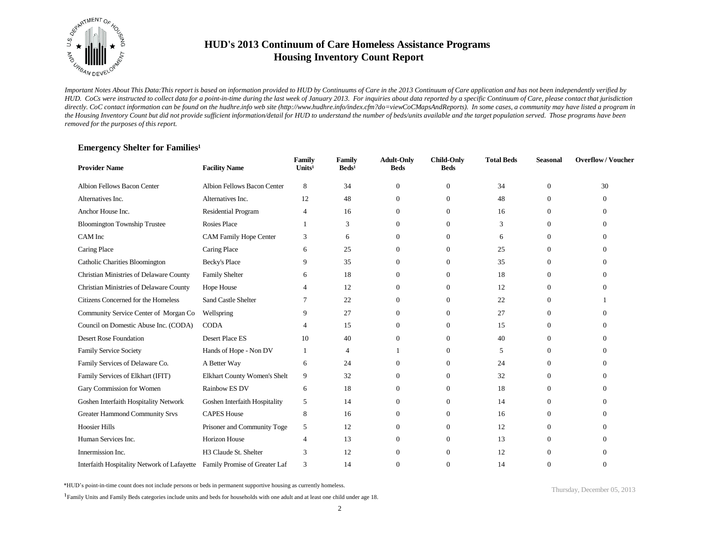

*Important Notes About This Data:This report is based on information provided to HUD by Continuums of Care in the 2013 Continuum of Care application and has not been independently verified by HUD. CoCs were instructed to collect data for a point-in-time during the last week of January 2013. For inquiries about data reported by a specific Continuum of Care, please contact that jurisdiction*  directly. CoC contact information can be found on the hudhre.info web site (http://www.hudhre.info/index.cfm?do=viewCoCMapsAndReports). In some cases, a community may have listed a program in *the Housing Inventory Count but did not provide sufficient information/detail for HUD to understand the number of beds/units available and the target population served. Those programs have been removed for the purposes of this report.*

### **Emergency Shelter for Families<sup>1</sup>**

| <b>Provider Name</b>                                                      | <b>Facility Name</b>               | Family<br>Units <sup>1</sup> | Family<br>Beds <sup>1</sup> | <b>Adult-Only</b><br><b>Beds</b> | <b>Child-Only</b><br><b>Beds</b> | <b>Total Beds</b> | <b>Seasonal</b> | <b>Overflow/Voucher</b> |
|---------------------------------------------------------------------------|------------------------------------|------------------------------|-----------------------------|----------------------------------|----------------------------------|-------------------|-----------------|-------------------------|
| Albion Fellows Bacon Center                                               | <b>Albion Fellows Bacon Center</b> | 8                            | 34                          | $\overline{0}$                   | $\mathbf{0}$                     | 34                | $\overline{0}$  | 30                      |
| Alternatives Inc.                                                         | Alternatives Inc.                  | 12                           | 48                          | $\overline{0}$                   | $\Omega$                         | 48                | $\Omega$        | 0                       |
| Anchor House Inc.                                                         | <b>Residential Program</b>         | 4                            | 16                          | $\overline{0}$                   | $\Omega$                         | 16                | $\Omega$        | $\theta$                |
| <b>Bloomington Township Trustee</b>                                       | <b>Rosies Place</b>                |                              | 3                           | $\overline{0}$                   | $\Omega$                         | 3                 | $\Omega$        | 0                       |
| CAM Inc                                                                   | <b>CAM Family Hope Center</b>      | 3                            | 6                           | $\overline{0}$                   | $\Omega$                         | 6                 | $\Omega$        | 0                       |
| Caring Place                                                              | Caring Place                       | 6                            | 25                          | $\Omega$                         | $\Omega$                         | 25                | $\Omega$        | ∩                       |
| Catholic Charities Bloomington                                            | <b>Becky's Place</b>               | 9                            | 35                          | $\Omega$                         | $\Omega$                         | 35                | $\Omega$        | ∩                       |
| Christian Ministries of Delaware County                                   | <b>Family Shelter</b>              | 6                            | 18                          | 0                                | $\Omega$                         | 18                | $\Omega$        |                         |
| Christian Ministries of Delaware County                                   | Hope House                         |                              | 12                          | $\Omega$                         | $\Omega$                         | 12                | $\Omega$        | ∩                       |
| Citizens Concerned for the Homeless                                       | <b>Sand Castle Shelter</b>         | 7                            | 22                          | $\overline{0}$                   | $\Omega$                         | 22                | $\theta$        |                         |
| Community Service Center of Morgan Co                                     | Wellspring                         | 9                            | 27                          | $\Omega$                         | $\Omega$                         | 27                | $\Omega$        | ∩                       |
| Council on Domestic Abuse Inc. (CODA)                                     | <b>CODA</b>                        |                              | 15                          | $\overline{0}$                   | $\Omega$                         | 15                | $\Omega$        | ∩                       |
| <b>Desert Rose Foundation</b>                                             | <b>Desert Place ES</b>             | 10                           | 40                          | $\overline{0}$                   | $\Omega$                         | 40                | $\Omega$        | ∩                       |
| <b>Family Service Society</b>                                             | Hands of Hope - Non DV             |                              | 4                           |                                  | $\Omega$                         | 5                 | $\Omega$        |                         |
| Family Services of Delaware Co.                                           | A Better Way                       | 6                            | 24                          | $\Omega$                         | $\Omega$                         | 24                | $\Omega$        | 0                       |
| Family Services of Elkhart (IFIT)                                         | Elkhart County Women's Shelt       | 9                            | 32                          | $\overline{0}$                   | $\Omega$                         | 32                | $\overline{0}$  |                         |
| Gary Commission for Women                                                 | <b>Rainbow ES DV</b>               | 6                            | 18                          | $\overline{0}$                   | $\Omega$                         | 18                | $\Omega$        | ∩                       |
| Goshen Interfaith Hospitality Network                                     | Goshen Interfaith Hospitality      | 5                            | 14                          | $\overline{0}$                   | $\Omega$                         | 14                | $\overline{0}$  |                         |
| <b>Greater Hammond Community Srvs</b>                                     | <b>CAPES House</b>                 | 8                            | 16                          | $\overline{0}$                   | $\Omega$                         | 16                | $\Omega$        |                         |
| <b>Hoosier Hills</b>                                                      | Prisoner and Community Toge        | 5                            | 12                          | $\overline{0}$                   | $\mathbf{0}$                     | 12                | $\overline{0}$  |                         |
| Human Services Inc.                                                       | Horizon House                      |                              | 13                          | $\overline{0}$                   | $\Omega$                         | 13                | $\Omega$        |                         |
| Innermission Inc.                                                         | H3 Claude St. Shelter              | 3                            | 12                          | $\Omega$                         | $\Omega$                         | 12                | $\Omega$        |                         |
| Interfaith Hospitality Network of Lafayette Family Promise of Greater Laf |                                    | 3                            | 14                          | 0                                | $\Omega$                         | 14                | $\Omega$        |                         |

\*HUD's point-in-time count does not include persons or beds in permanent supportive housing as currently homeless.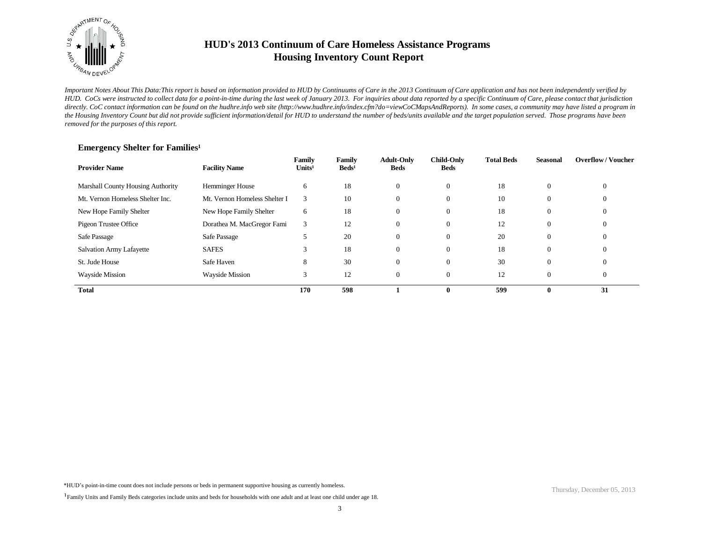

*Important Notes About This Data:This report is based on information provided to HUD by Continuums of Care in the 2013 Continuum of Care application and has not been independently verified by HUD. CoCs were instructed to collect data for a point-in-time during the last week of January 2013. For inquiries about data reported by a specific Continuum of Care, please contact that jurisdiction*  directly. CoC contact information can be found on the hudhre.info web site (http://www.hudhre.info/index.cfm?do=viewCoCMapsAndReports). In some cases, a community may have listed a program in *the Housing Inventory Count but did not provide sufficient information/detail for HUD to understand the number of beds/units available and the target population served. Those programs have been removed for the purposes of this report.*

| <b>Provider Name</b>                     | <b>Facility Name</b>          | Family<br>Units <sup>1</sup> | Family<br>$\text{Beds}^1$ | <b>Adult-Only</b><br><b>Beds</b> | <b>Child-Only</b><br>Beds | <b>Total Beds</b> | <b>Seasonal</b> | <b>Overflow/Voucher</b> |
|------------------------------------------|-------------------------------|------------------------------|---------------------------|----------------------------------|---------------------------|-------------------|-----------------|-------------------------|
| <b>Marshall County Housing Authority</b> | <b>Hemminger House</b>        | 6                            | 18                        | $\Omega$                         | $\overline{0}$            | 18                | $\Omega$        |                         |
| Mt. Vernon Homeless Shelter Inc.         | Mt. Vernon Homeless Shelter I | 3                            | 10                        | $\Omega$                         | $\overline{0}$            | 10                | $\overline{0}$  |                         |
| New Hope Family Shelter                  | New Hope Family Shelter       | 6                            | 18                        | $\Omega$                         | $\overline{0}$            | 18                | $\overline{0}$  | 0                       |
| Pigeon Trustee Office                    | Dorathea M. MacGregor Fami    | 3                            | 12                        | $\Omega$                         | $\overline{0}$            | 12                | $\overline{0}$  | U                       |
| Safe Passage                             | Safe Passage                  | 5                            | 20                        | $\Omega$                         | $\overline{0}$            | 20                | 0               |                         |
| <b>Salvation Army Lafayette</b>          | <b>SAFES</b>                  | 3                            | 18                        | $\Omega$                         | $\overline{0}$            | 18                | 0               |                         |
| St. Jude House                           | Safe Haven                    | 8                            | 30                        | $\Omega$                         | $\overline{0}$            | 30                | $\overline{0}$  | U                       |
| <b>Wayside Mission</b>                   | <b>Wayside Mission</b>        | 3                            | 12                        | $\Omega$                         | $\Omega$                  | 12                | $\Omega$        | $\Omega$                |
| <b>Total</b>                             |                               | 170                          | 598                       |                                  | $\mathbf{0}$              | 599               | 0               | 31                      |

#### **Emergency Shelter for Families<sup>1</sup>**

<sup>&</sup>lt;sup>1</sup>Family Units and Family Beds categories include units and beds for households with one adult and at least one child under age 18.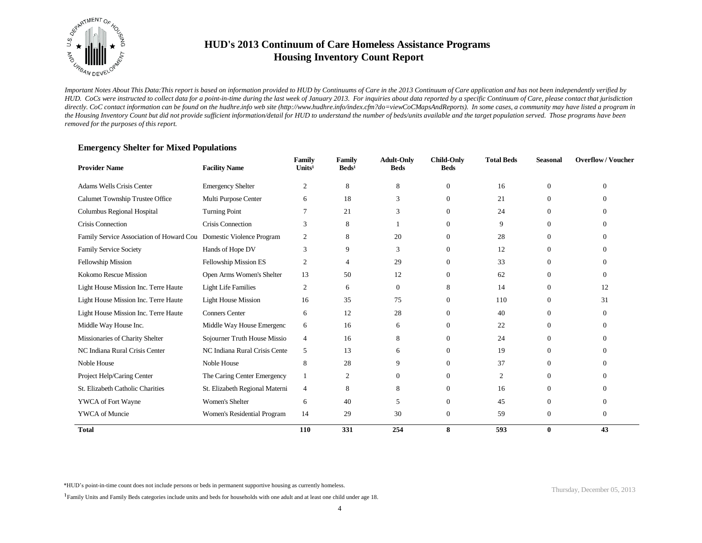

*Important Notes About This Data:This report is based on information provided to HUD by Continuums of Care in the 2013 Continuum of Care application and has not been independently verified by HUD. CoCs were instructed to collect data for a point-in-time during the last week of January 2013. For inquiries about data reported by a specific Continuum of Care, please contact that jurisdiction*  directly. CoC contact information can be found on the hudhre.info web site (http://www.hudhre.info/index.cfm?do=viewCoCMapsAndReports). In some cases, a community may have listed a program in *the Housing Inventory Count but did not provide sufficient information/detail for HUD to understand the number of beds/units available and the target population served. Those programs have been removed for the purposes of this report.*

### **Emergency Shelter for Mixed Populations**

| <b>Provider Name</b>                                               | <b>Facility Name</b>           | Family<br>Units <sup>1</sup> | Family<br>$\text{Beds}^1$ | <b>Adult-Only</b><br><b>Beds</b> | <b>Child-Only</b><br><b>Beds</b> | <b>Total Beds</b> | <b>Seasonal</b> | <b>Overflow/Voucher</b> |
|--------------------------------------------------------------------|--------------------------------|------------------------------|---------------------------|----------------------------------|----------------------------------|-------------------|-----------------|-------------------------|
| Adams Wells Crisis Center                                          | <b>Emergency Shelter</b>       | 2                            | 8                         | 8                                | $\mathbf{0}$                     | 16                | $\Omega$        | $\Omega$                |
| Calumet Township Trustee Office                                    | Multi Purpose Center           | 6                            | 18                        | 3                                | $\Omega$                         | 21                | 0               | $\Omega$                |
| Columbus Regional Hospital                                         | <b>Turning Point</b>           |                              | 21                        | 3                                | $\boldsymbol{0}$                 | 24                | $\Omega$        | $\Omega$                |
| <b>Crisis Connection</b>                                           | <b>Crisis Connection</b>       | 3                            | 8                         |                                  | $\Omega$                         | 9                 | $\Omega$        | $\Omega$                |
| Family Service Association of Howard Cou Domestic Violence Program |                                | 2                            | 8                         | 20                               | $\Omega$                         | 28                | 0               | $\Omega$                |
| <b>Family Service Society</b>                                      | Hands of Hope DV               | 3                            | 9                         | 3                                | $\Omega$                         | 12                | $\Omega$        | $\Omega$                |
| Fellowship Mission                                                 | Fellowship Mission ES          | $\mathfrak{2}$               | $\overline{4}$            | 29                               | $\Omega$                         | 33                | $\Omega$        | $\Omega$                |
| Kokomo Rescue Mission                                              | Open Arms Women's Shelter      | 13                           | 50                        | 12                               | $\mathbf{0}$                     | 62                | $\theta$        | $\Omega$                |
| Light House Mission Inc. Terre Haute                               | <b>Light Life Families</b>     | 2                            | 6                         | $\Omega$                         | 8                                | 14                | 0               | 12                      |
| Light House Mission Inc. Terre Haute                               | <b>Light House Mission</b>     | 16                           | 35                        | 75                               | $\Omega$                         | 110               | $\Omega$        | 31                      |
| Light House Mission Inc. Terre Haute                               | <b>Conners Center</b>          | 6                            | 12                        | 28                               | $\Omega$                         | 40                | $\Omega$        | $\Omega$                |
| Middle Way House Inc.                                              | Middle Way House Emergenc      | 6                            | 16                        | 6                                | $\Omega$                         | 22                | 0               | $\Omega$                |
| Missionaries of Charity Shelter                                    | Sojourner Truth House Missio   | 4                            | 16                        | 8                                | $\Omega$                         | 24                | $\Omega$        | $\Omega$                |
| NC Indiana Rural Crisis Center                                     | NC Indiana Rural Crisis Cente  | 5                            | 13                        | 6                                | $\mathbf{0}$                     | 19                | $\theta$        | $\Omega$                |
| Noble House                                                        | Noble House                    | 8                            | 28                        | 9                                | $\mathbf{0}$                     | 37                | $\Omega$        |                         |
| Project Help/Caring Center                                         | The Caring Center Emergency    |                              | 2                         | $\Omega$                         | $\Omega$                         | 2                 | $\Omega$        | $\Omega$                |
| St. Elizabeth Catholic Charities                                   | St. Elizabeth Regional Materni | $\overline{4}$               | 8                         | 8                                | $\mathbf{0}$                     | 16                | $\Omega$        | $\Omega$                |
| YWCA of Fort Wayne                                                 | Women's Shelter                | 6                            | 40                        | 5                                | $\Omega$                         | 45                | $\Omega$        | $\Omega$                |
| <b>YWCA</b> of Muncie                                              | Women's Residential Program    | 14                           | 29                        | 30                               | $\overline{0}$                   | 59                | $\Omega$        | $\overline{0}$          |
| <b>Total</b>                                                       |                                | <b>110</b>                   | 331                       | 254                              | 8                                | 593               | $\bf{0}$        | 43                      |

\*HUD's point-in-time count does not include persons or beds in permanent supportive housing as currently homeless.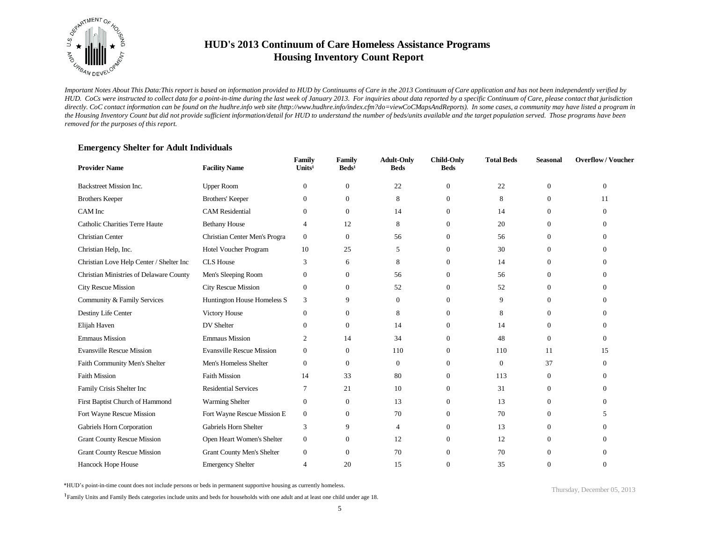

*Important Notes About This Data:This report is based on information provided to HUD by Continuums of Care in the 2013 Continuum of Care application and has not been independently verified by HUD. CoCs were instructed to collect data for a point-in-time during the last week of January 2013. For inquiries about data reported by a specific Continuum of Care, please contact that jurisdiction*  directly. CoC contact information can be found on the hudhre.info web site (http://www.hudhre.info/index.cfm?do=viewCoCMapsAndReports). In some cases, a community may have listed a program in *the Housing Inventory Count but did not provide sufficient information/detail for HUD to understand the number of beds/units available and the target population served. Those programs have been removed for the purposes of this report.*

| <b>Provider Name</b>                     | <b>Facility Name</b>             | Family<br>Units <sup>1</sup> | Family<br>$\text{Beds}^1$ | <b>Adult-Only</b><br><b>Beds</b> | <b>Child-Only</b><br><b>Beds</b> | <b>Total Beds</b> | <b>Seasonal</b>  | <b>Overflow/Voucher</b> |
|------------------------------------------|----------------------------------|------------------------------|---------------------------|----------------------------------|----------------------------------|-------------------|------------------|-------------------------|
| Backstreet Mission Inc.                  | <b>Upper Room</b>                | $\overline{0}$               | $\boldsymbol{0}$          | 22                               | $\mathbf{0}$                     | 22                | $\mathbf{0}$     | $\mathbf{0}$            |
| <b>Brothers Keeper</b>                   | Brothers' Keeper                 | $\theta$                     | $\mathbf{0}$              | 8                                | $\Omega$                         | 8                 | $\overline{0}$   | 11                      |
| CAM Inc                                  | <b>CAM</b> Residential           | $\theta$                     | $\mathbf{0}$              | 14                               | $\Omega$                         | 14                | $\theta$         | 0                       |
| Catholic Charities Terre Haute           | <b>Bethany House</b>             | $\overline{4}$               | 12                        | 8                                | $\mathbf{0}$                     | 20                | $\overline{0}$   | $\Omega$                |
| Christian Center                         | Christian Center Men's Progra    | $\mathbf{0}$                 | $\overline{0}$            | 56                               | $\Omega$                         | 56                | $\theta$         | 0                       |
| Christian Help, Inc.                     | Hotel Voucher Program            | 10                           | 25                        | 5                                | $\theta$                         | 30                | $\boldsymbol{0}$ | 0                       |
| Christian Love Help Center / Shelter Inc | <b>CLS</b> House                 | 3                            | 6                         | 8                                | $\mathbf{0}$                     | 14                | $\overline{0}$   | 0                       |
| Christian Ministries of Delaware County  | Men's Sleeping Room              | $\theta$                     | $\mathbf{0}$              | 56                               | $\Omega$                         | 56                | $\overline{0}$   | 0                       |
| <b>City Rescue Mission</b>               | <b>City Rescue Mission</b>       | $\mathbf{0}$                 | $\boldsymbol{0}$          | 52                               | $\Omega$                         | 52                | $\overline{0}$   | 0                       |
| Community & Family Services              | Huntington House Homeless S      | 3                            | 9                         | $\overline{0}$                   | $\Omega$                         | 9                 | $\overline{0}$   | 0                       |
| Destiny Life Center                      | <b>Victory House</b>             | $\theta$                     | $\mathbf{0}$              | 8                                | $\Omega$                         | 8                 | $\overline{0}$   | 0                       |
| Elijah Haven                             | DV Shelter                       | $\Omega$                     | $\boldsymbol{0}$          | 14                               | $\mathbf{0}$                     | 14                | 0                | 0                       |
| <b>Emmaus Mission</b>                    | <b>Emmaus Mission</b>            | 2                            | 14                        | 34                               | $\Omega$                         | 48                | $\overline{0}$   | 0                       |
| <b>Evansville Rescue Mission</b>         | <b>Evansville Rescue Mission</b> | $\theta$                     | $\mathbf{0}$              | 110                              | $\overline{0}$                   | 110               | 11               | 15                      |
| Faith Community Men's Shelter            | Men's Homeless Shelter           | $\Omega$                     | $\mathbf{0}$              | $\overline{0}$                   | $\Omega$                         | $\Omega$          | 37               | 0                       |
| <b>Faith Mission</b>                     | <b>Faith Mission</b>             | 14                           | 33                        | 80                               | $\Omega$                         | 113               | $\theta$         | $\Omega$                |
| Family Crisis Shelter Inc                | <b>Residential Services</b>      | 7                            | 21                        | 10                               | $\Omega$                         | 31                | $\overline{0}$   | 0                       |
| First Baptist Church of Hammond          | <b>Warming Shelter</b>           | $\theta$                     | $\boldsymbol{0}$          | 13                               | $\overline{0}$                   | 13                | $\mathbf{0}$     | $\Omega$                |
| Fort Wayne Rescue Mission                | Fort Wayne Rescue Mission E      | $\boldsymbol{0}$             | $\mathbf{0}$              | 70                               | $\Omega$                         | 70                | $\boldsymbol{0}$ | 5                       |
| Gabriels Horn Corporation                | Gabriels Horn Shelter            | 3                            | 9                         | $\overline{4}$                   | $\mathbf{0}$                     | 13                | $\boldsymbol{0}$ | $\Omega$                |
| <b>Grant County Rescue Mission</b>       | Open Heart Women's Shelter       | $\mathbf{0}$                 | $\mathbf{0}$              | 12                               | $\Omega$                         | 12                | $\overline{0}$   |                         |
| <b>Grant County Rescue Mission</b>       | Grant County Men's Shelter       | $\boldsymbol{0}$             | $\mathbf{0}$              | 70                               | $\Omega$                         | 70                | $\boldsymbol{0}$ |                         |
| Hancock Hope House                       | <b>Emergency Shelter</b>         | $\boldsymbol{\Delta}$        | 20                        | 15                               | $\Omega$                         | 35                | $\Omega$         | $\Omega$                |

#### **Emergency Shelter for Adult Individuals**

\*HUD's point-in-time count does not include persons or beds in permanent supportive housing as currently homeless.

<sup>1</sup>Family Units and Family Beds categories include units and beds for households with one adult and at least one child under age 18.

Thursday, December 05, 2013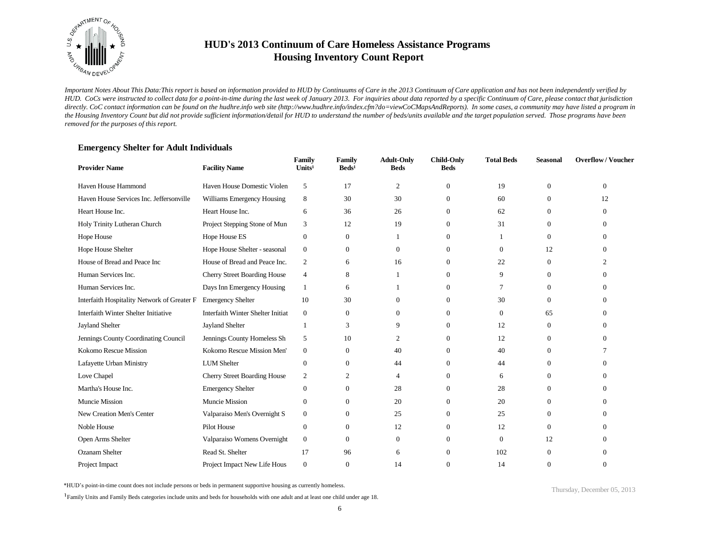

*Important Notes About This Data:This report is based on information provided to HUD by Continuums of Care in the 2013 Continuum of Care application and has not been independently verified by HUD. CoCs were instructed to collect data for a point-in-time during the last week of January 2013. For inquiries about data reported by a specific Continuum of Care, please contact that jurisdiction*  directly. CoC contact information can be found on the hudhre.info web site (http://www.hudhre.info/index.cfm?do=viewCoCMapsAndReports). In some cases, a community may have listed a program in *the Housing Inventory Count but did not provide sufficient information/detail for HUD to understand the number of beds/units available and the target population served. Those programs have been removed for the purposes of this report.*

### **Provider Name Facility Name Family**  Units<sup>1</sup> **Family**  Beds<sup>1</sup> **Adult-Only Beds Child-Only Total Beds Seasonal Overflow / Voucher Beds** Haven House Hammond Haven House Domestic Violen 5 17 2 0 19 0 0 0 Haven House Services Inc. Jeffersonville Williams Emergency Housing 8 30 30 0 60 60 0 12 Heart House Inc. Heart House Inc. 6 36 26 0 62 0 0 Holy Trinity Lutheran Church Project Stepping Stone of Mun 3 12 19 0 31 0 0 0 Hope House The House ES and the House ES and the Monday Control of the Monday Control of the Monday Control of the Monday Control of the Monday Control of the Monday Control of the Monday Control of the Monday Control of t Hope House Shelter **Hope House Shelter - seasonal** 0 0 0 0 0 0 0 12 0 0 House of Bread and Peace Inc House of Bread and Peace Inc. 2 6 16 0 22 0 2 Human Services Inc. Cherry Street Boarding House  $\begin{array}{ccc} 4 & 8 & 1 & 0 & 9 & 0 \end{array}$ Human Services Inc. Days Inn Emergency Housing 1 6 1 0 7 0 0 Interfaith Hospitality Network of Greater F Emergency Shelter 10 30 0 0 30 0 0 Interfaith Winter Shelter Initiative Interfaith Winter Shelter Initiat 0 0 0 0 0 0 0 65 0 0 Jayland Shelter Jayland Shelter 1 3 9 0 12 0 0 Jennings County Coordinating Council Jennings County Homeless Sh 5 10 2 0 12 0 0 0 Kokomo Rescue Mission and Kokomo Rescue Mission Men' 0 0 40 0 40 0 40 0 7 Lafayette Urban Ministry **LUM Shelter** 0 0 44 0 44 0 0 0 Love Chapel Cherry Street Boarding House 2 2 4 0 6 0 0 0 Martha's House Inc. Emergency Shelter 0 0 28 0 28 0 0 Muncie Mission and Muncie Mission and Muncie Mission and Oriental Oriental Communication and Oriental Oriental O New Creation Men's Center Valparaiso Men's Overnight S 0 0 25 0 25 0 0 Noble House Pilot House 0 0 12 0 12 0 0 Open Arms Shelter **Valparaiso Womens Overnight** 0 0 0 0 0 0 12 0 0 Ozanam Shelter **Read St. Shelter** 17 96 6 0 102 0 0 Project Impact 1mpact 1.0 Project Impact New Life Hous 0 0 14 0 14 0 0 0 0

#### **Emergency Shelter for Adult Individuals**

\*HUD's point-in-time count does not include persons or beds in permanent supportive housing as currently homeless.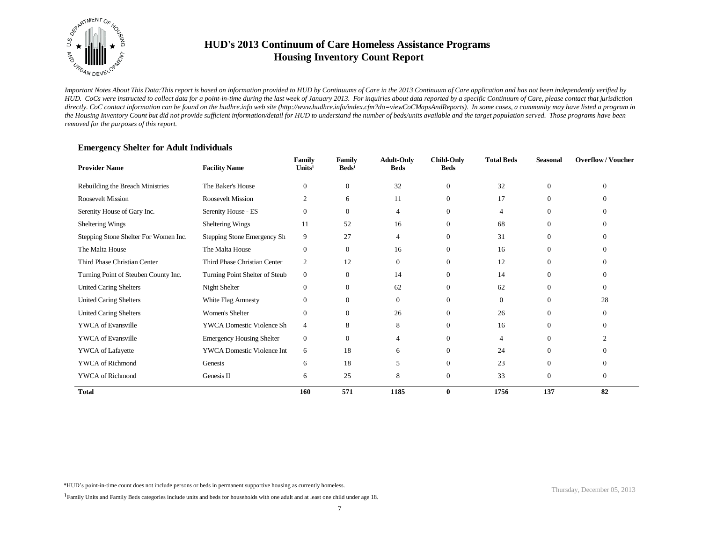

*Important Notes About This Data:This report is based on information provided to HUD by Continuums of Care in the 2013 Continuum of Care application and has not been independently verified by HUD. CoCs were instructed to collect data for a point-in-time during the last week of January 2013. For inquiries about data reported by a specific Continuum of Care, please contact that jurisdiction*  directly. CoC contact information can be found on the hudhre.info web site (http://www.hudhre.info/index.cfm?do=viewCoCMapsAndReports). In some cases, a community may have listed a program in *the Housing Inventory Count but did not provide sufficient information/detail for HUD to understand the number of beds/units available and the target population served. Those programs have been removed for the purposes of this report.*

| <b>Provider Name</b>                  | <b>Facility Name</b>             | Family<br>Units <sup>1</sup> | Family<br>$\text{Beds}^1$ | <b>Adult-Only</b><br><b>Beds</b> | <b>Child-Only</b><br><b>Beds</b> | <b>Total Beds</b> | <b>Seasonal</b> | <b>Overflow/Voucher</b> |
|---------------------------------------|----------------------------------|------------------------------|---------------------------|----------------------------------|----------------------------------|-------------------|-----------------|-------------------------|
| Rebuilding the Breach Ministries      | The Baker's House                | $\mathbf{0}$                 | $\mathbf{0}$              | 32                               | $\theta$                         | 32                | $\overline{0}$  | $\Omega$                |
| <b>Roosevelt Mission</b>              | Roosevelt Mission                | $\overline{c}$               | 6                         | 11                               | $\Omega$                         | 17                | 0               |                         |
| Serenity House of Gary Inc.           | Serenity House - ES              | $\mathbf{0}$                 | $\mathbf{0}$              |                                  | $\Omega$                         | $\overline{4}$    | 0               |                         |
| Sheltering Wings                      | Sheltering Wings                 | 11                           | 52                        | 16                               | $\Omega$                         | 68                | 0               |                         |
| Stepping Stone Shelter For Women Inc. | Stepping Stone Emergency Sh      | 9                            | 27                        |                                  | $\Omega$                         | 31                | 0               |                         |
| The Malta House                       | The Malta House                  | $\boldsymbol{0}$             | $\mathbf{0}$              | 16                               | $\Omega$                         | 16                | 0               |                         |
| Third Phase Christian Center          | Third Phase Christian Center     | $\mathfrak{2}$               | 12                        | $\Omega$                         | $\mathbf{0}$                     | 12                | 0               | $\Omega$                |
| Turning Point of Steuben County Inc.  | Turning Point Shelter of Steub   | $\mathbf{0}$                 | $\overline{0}$            | 14                               | $\Omega$                         | 14                | 0               | $\Omega$                |
| <b>United Caring Shelters</b>         | Night Shelter                    | $\mathbf{0}$                 | $\theta$                  | 62                               | $\mathbf{0}$                     | 62                | 0               | $\Omega$                |
| United Caring Shelters                | White Flag Amnesty               | $\mathbf{0}$                 | $\theta$                  | $\Omega$                         | $\overline{0}$                   | $\Omega$          | $\Omega$        | 28                      |
| <b>United Caring Shelters</b>         | Women's Shelter                  | $\mathbf{0}$                 | $\theta$                  | 26                               | $\Omega$                         | 26                | 0               | $\Omega$                |
| <b>YWCA</b> of Evansville             | <b>YWCA Domestic Violence Sh</b> | 4                            | 8                         | 8                                | $\overline{0}$                   | 16                | $\Omega$        | $\Omega$                |
| <b>YWCA</b> of Evansville             | <b>Emergency Housing Shelter</b> | $\boldsymbol{0}$             | $\mathbf{0}$              |                                  | $\overline{0}$                   | $\overline{4}$    | $\overline{0}$  | $\bigcap$               |
| YWCA of Lafayette                     | YWCA Domestic Violence Int       | 6                            | 18                        | 6                                | $\Omega$                         | 24                | 0               | $\Omega$                |
| <b>YWCA</b> of Richmond               | Genesis                          | 6                            | 18                        | 5                                | $\Omega$                         | 23                | $\overline{0}$  | $\Omega$                |
| YWCA of Richmond                      | Genesis II                       | 6                            | 25                        | 8                                | $\theta$                         | 33                | $\overline{0}$  | $\Omega$                |
| <b>Total</b>                          |                                  | 160                          | 571                       | 1185                             | $\bf{0}$                         | 1756              | 137             | 82                      |

#### **Emergency Shelter for Adult Individuals**

\*HUD's point-in-time count does not include persons or beds in permanent supportive housing as currently homeless.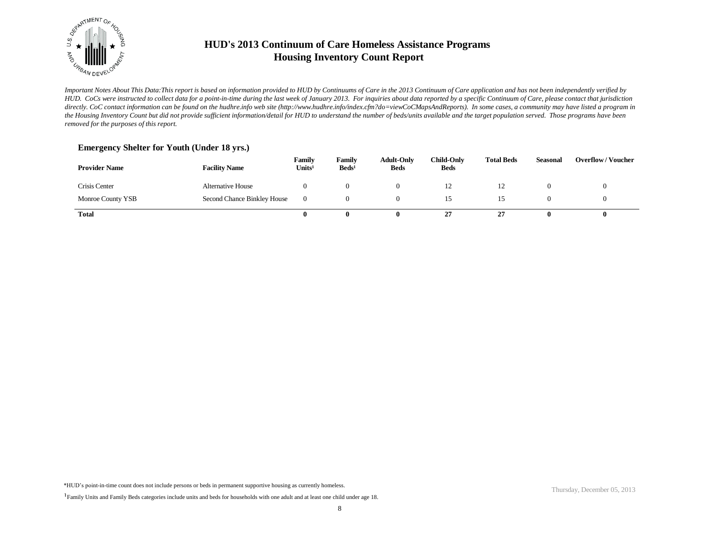

*Important Notes About This Data:This report is based on information provided to HUD by Continuums of Care in the 2013 Continuum of Care application and has not been independently verified by HUD. CoCs were instructed to collect data for a point-in-time during the last week of January 2013. For inquiries about data reported by a specific Continuum of Care, please contact that jurisdiction*  directly. CoC contact information can be found on the hudhre.info web site (http://www.hudhre.info/index.cfm?do=viewCoCMapsAndReports). In some cases, a community may have listed a program in *the Housing Inventory Count but did not provide sufficient information/detail for HUD to understand the number of beds/units available and the target population served. Those programs have been removed for the purposes of this report.*

#### **Emergency Shelter for Youth (Under 18 yrs.)**

| <b>Provider Name</b> | <b>Facility Name</b>        | Family<br>Units <sup>1</sup> | Family<br>Beds <sup>1</sup> | <b>Adult-Only</b><br><b>Beds</b> | <b>Child-Only</b><br><b>Beds</b> | <b>Total Beds</b> | <b>Seasonal</b> | <b>Overflow/Voucher</b> |
|----------------------|-----------------------------|------------------------------|-----------------------------|----------------------------------|----------------------------------|-------------------|-----------------|-------------------------|
| Crisis Center        | Alternative House           |                              |                             |                                  | $\perp$                          | ⊥∠                |                 |                         |
| Monroe County YSB    | Second Chance Binkley House |                              |                             |                                  |                                  |                   |                 |                         |
| <b>Total</b>         |                             |                              | $\bf{0}$                    | o                                | 27                               | 27                |                 |                         |

<sup>&</sup>lt;sup>1</sup>Family Units and Family Beds categories include units and beds for households with one adult and at least one child under age 18.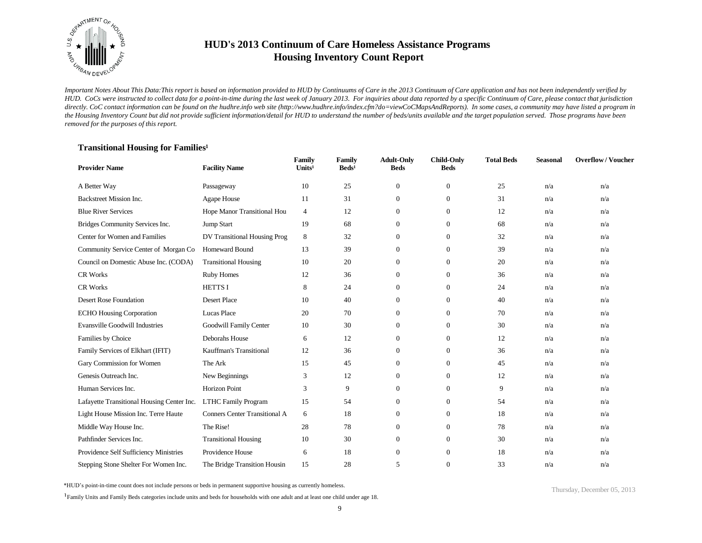

*Important Notes About This Data:This report is based on information provided to HUD by Continuums of Care in the 2013 Continuum of Care application and has not been independently verified by HUD. CoCs were instructed to collect data for a point-in-time during the last week of January 2013. For inquiries about data reported by a specific Continuum of Care, please contact that jurisdiction*  directly. CoC contact information can be found on the hudhre.info web site (http://www.hudhre.info/index.cfm?do=viewCoCMapsAndReports). In some cases, a community may have listed a program in *the Housing Inventory Count but did not provide sufficient information/detail for HUD to understand the number of beds/units available and the target population served. Those programs have been removed for the purposes of this report.*

#### **Transitional Housing for Families<sup>1</sup>**

| <b>Provider Name</b>                       | <b>Facility Name</b>                 | Family<br>Units <sup>1</sup> | Family<br>$\text{Beds}^1$ | <b>Adult-Only</b><br><b>Beds</b> | <b>Child-Only</b><br><b>Beds</b> | <b>Total Beds</b> | <b>Seasonal</b> | <b>Overflow/Voucher</b> |
|--------------------------------------------|--------------------------------------|------------------------------|---------------------------|----------------------------------|----------------------------------|-------------------|-----------------|-------------------------|
| A Better Way                               | Passageway                           | 10                           | 25                        | $\mathbf{0}$                     | $\mathbf{0}$                     | 25                | n/a             | n/a                     |
| Backstreet Mission Inc.                    | Agape House                          | 11                           | 31                        | $\boldsymbol{0}$                 | $\mathbf{0}$                     | 31                | n/a             | n/a                     |
| <b>Blue River Services</b>                 | Hope Manor Transitional Hou          | $\overline{4}$               | 12                        | $\overline{0}$                   | $\mathbf{0}$                     | 12                | n/a             | n/a                     |
| Bridges Community Services Inc.            | Jump Start                           | 19                           | 68                        | $\overline{0}$                   | $\mathbf{0}$                     | 68                | n/a             | n/a                     |
| Center for Women and Families              | DV Transitional Housing Prog         | 8                            | 32                        | $\overline{0}$                   | $\mathbf{0}$                     | 32                | n/a             | n/a                     |
| Community Service Center of Morgan Co      | <b>Homeward Bound</b>                | 13                           | 39                        | $\overline{0}$                   | $\Omega$                         | 39                | n/a             | n/a                     |
| Council on Domestic Abuse Inc. (CODA)      | <b>Transitional Housing</b>          | 10                           | 20                        | $\overline{0}$                   | $\overline{0}$                   | 20                | n/a             | n/a                     |
| CR Works                                   | <b>Ruby Homes</b>                    | 12                           | 36                        | $\overline{0}$                   | $\mathbf{0}$                     | 36                | n/a             | n/a                     |
| <b>CR Works</b>                            | <b>HETTS I</b>                       | 8                            | 24                        | $\overline{0}$                   | $\Omega$                         | 24                | n/a             | n/a                     |
| Desert Rose Foundation                     | <b>Desert Place</b>                  | 10                           | 40                        | $\overline{0}$                   | $\mathbf{0}$                     | 40                | n/a             | n/a                     |
| <b>ECHO Housing Corporation</b>            | Lucas Place                          | 20                           | 70                        | $\overline{0}$                   | $\mathbf{0}$                     | 70                | n/a             | n/a                     |
| <b>Evansville Goodwill Industries</b>      | Goodwill Family Center               | 10                           | 30                        | $\overline{0}$                   | $\mathbf{0}$                     | 30                | n/a             | n/a                     |
| Families by Choice                         | Deborahs House                       | 6                            | 12                        | $\overline{0}$                   | $\mathbf{0}$                     | 12                | n/a             | n/a                     |
| Family Services of Elkhart (IFIT)          | Kauffman's Transitional              | 12                           | 36                        | 0                                | $\mathbf{0}$                     | 36                | n/a             | n/a                     |
| Gary Commission for Women                  | The Ark                              | 15                           | 45                        | 0                                | $\mathbf{0}$                     | 45                | n/a             | n/a                     |
| Genesis Outreach Inc.                      | New Beginnings                       | 3                            | 12                        | $\overline{0}$                   | $\mathbf{0}$                     | 12                | n/a             | n/a                     |
| Human Services Inc.                        | <b>Horizon Point</b>                 | 3                            | 9                         | $\overline{0}$                   | $\mathbf{0}$                     | 9                 | n/a             | n/a                     |
| Lafayette Transitional Housing Center Inc. | <b>LTHC Family Program</b>           | 15                           | 54                        | $\boldsymbol{0}$                 | $\mathbf{0}$                     | 54                | n/a             | n/a                     |
| Light House Mission Inc. Terre Haute       | <b>Conners Center Transitional A</b> | 6                            | 18                        | $\theta$                         | $\mathbf{0}$                     | 18                | n/a             | n/a                     |
| Middle Way House Inc.                      | The Rise!                            | 28                           | 78                        | $\overline{0}$                   | $\mathbf{0}$                     | 78                | n/a             | n/a                     |
| Pathfinder Services Inc.                   | <b>Transitional Housing</b>          | 10                           | 30                        | $\boldsymbol{0}$                 | $\mathbf{0}$                     | 30                | n/a             | n/a                     |
| Providence Self Sufficiency Ministries     | Providence House                     | 6                            | 18                        | $\overline{0}$                   | $\mathbf{0}$                     | 18                | n/a             | n/a                     |
| Stepping Stone Shelter For Women Inc.      | The Bridge Transition Housin         | 15                           | 28                        | 5                                | $\Omega$                         | 33                | n/a             | n/a                     |

\*HUD's point-in-time count does not include persons or beds in permanent supportive housing as currently homeless.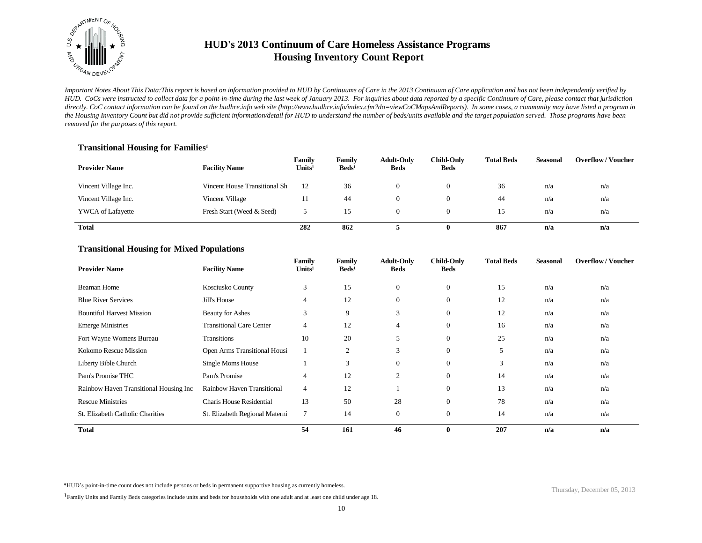

*Important Notes About This Data:This report is based on information provided to HUD by Continuums of Care in the 2013 Continuum of Care application and has not been independently verified by HUD. CoCs were instructed to collect data for a point-in-time during the last week of January 2013. For inquiries about data reported by a specific Continuum of Care, please contact that jurisdiction*  directly. CoC contact information can be found on the hudhre.info web site (http://www.hudhre.info/index.cfm?do=viewCoCMapsAndReports). In some cases, a community may have listed a program in *the Housing Inventory Count but did not provide sufficient information/detail for HUD to understand the number of beds/units available and the target population served. Those programs have been removed for the purposes of this report.*

#### **Transitional Housing for Families<sup>1</sup>**

| <b>Provider Name</b>     | <b>Facility Name</b>          | Family<br>Units <sup>1</sup> | Family<br>$\text{Beds}^1$ | <b>Adult-Only</b><br>Beds | <b>Child-Only</b><br><b>Beds</b> | <b>Total Beds</b> | <b>Seasonal</b> | <b>Overflow/Voucher</b> |
|--------------------------|-------------------------------|------------------------------|---------------------------|---------------------------|----------------------------------|-------------------|-----------------|-------------------------|
| Vincent Village Inc.     | Vincent House Transitional Sh | 12                           | 36                        |                           |                                  | 36                | n/a             | n/a                     |
| Vincent Village Inc.     | Vincent Village               |                              | 44                        |                           |                                  | 44                | n/a             | n/a                     |
| <b>YWCA</b> of Lafayette | Fresh Start (Weed & Seed)     |                              | 15                        |                           |                                  |                   | n/a             | n/a                     |
| <b>Total</b>             |                               | 282                          | 862                       |                           |                                  | 867               | n/a             | n/a                     |

#### **Transitional Housing for Mixed Populations**

| <b>Provider Name</b>                   | <b>Facility Name</b>            | Family<br>Units <sup>1</sup> | Family<br>$\text{Beds}^1$ | <b>Adult-Only</b><br><b>Beds</b> | <b>Child-Only</b><br>Beds | <b>Total Beds</b> | <b>Seasonal</b> | <b>Overflow/Voucher</b> |
|----------------------------------------|---------------------------------|------------------------------|---------------------------|----------------------------------|---------------------------|-------------------|-----------------|-------------------------|
| Beaman Home                            | Kosciusko County                | 3                            | 15                        | $\overline{0}$                   | $\overline{0}$            | 15                | n/a             | n/a                     |
| <b>Blue River Services</b>             | Jill's House                    | 4                            | 12                        | $\theta$                         | $\overline{0}$            | 12                | n/a             | n/a                     |
| <b>Bountiful Harvest Mission</b>       | <b>Beauty for Ashes</b>         | 3                            | 9                         | 3                                | $\overline{0}$            | 12                | n/a             | n/a                     |
| <b>Emerge Ministries</b>               | <b>Transitional Care Center</b> | 4                            | 12                        | 4                                | $\mathbf{0}$              | 16                | n/a             | n/a                     |
| Fort Wayne Womens Bureau               | <b>Transitions</b>              | 10                           | 20                        | 5                                | $\theta$                  | 25                | n/a             | n/a                     |
| Kokomo Rescue Mission                  | Open Arms Transitional Housi    |                              | 2                         | 3                                | $\mathbf{0}$              | 5                 | n/a             | n/a                     |
| Liberty Bible Church                   | Single Moms House               |                              | 3                         | $\theta$                         | $\mathbf{0}$              | 3                 | n/a             | n/a                     |
| Pam's Promise THC                      | Pam's Promise                   | $\overline{4}$               | 12                        | $\overline{c}$                   | $\overline{0}$            | 14                | n/a             | n/a                     |
| Rainbow Haven Transitional Housing Inc | Rainbow Haven Transitional      | $\overline{4}$               | 12                        |                                  | $\Omega$                  | 13                | n/a             | n/a                     |
| <b>Rescue Ministries</b>               | Charis House Residential        | 13                           | 50                        | 28                               | $\mathbf{0}$              | 78                | n/a             | n/a                     |
| St. Elizabeth Catholic Charities       | St. Elizabeth Regional Materni  | 7                            | 14                        | $\theta$                         | $\overline{0}$            | 14                | n/a             | n/a                     |
| <b>Total</b>                           |                                 | 54                           | 161                       | 46                               | $\bf{0}$                  | 207               | n/a             | n/a                     |

\*HUD's point-in-time count does not include persons or beds in permanent supportive housing as currently homeless.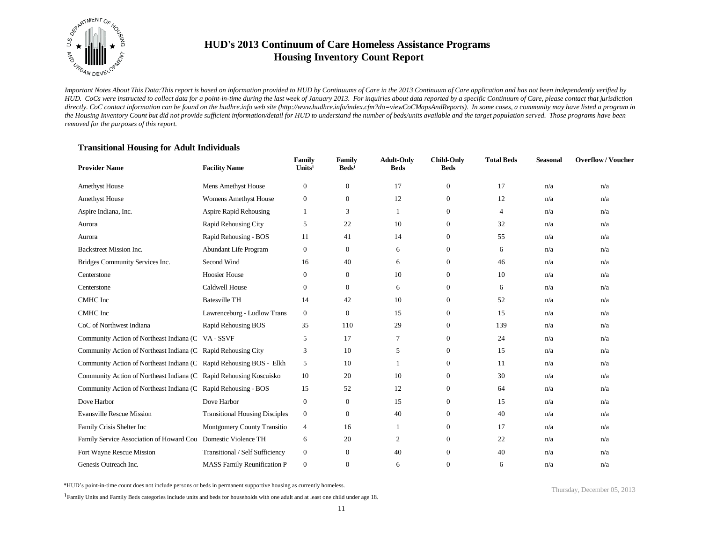

*Important Notes About This Data:This report is based on information provided to HUD by Continuums of Care in the 2013 Continuum of Care application and has not been independently verified by HUD. CoCs were instructed to collect data for a point-in-time during the last week of January 2013. For inquiries about data reported by a specific Continuum of Care, please contact that jurisdiction*  directly. CoC contact information can be found on the hudhre.info web site (http://www.hudhre.info/index.cfm?do=viewCoCMapsAndReports). In some cases, a community may have listed a program in *the Housing Inventory Count but did not provide sufficient information/detail for HUD to understand the number of beds/units available and the target population served. Those programs have been removed for the purposes of this report.*

#### **Transitional Housing for Adult Individuals**

| <b>Provider Name</b>                                                | <b>Facility Name</b>                  | Family<br>Units <sup>1</sup> | Family<br>$\text{Beds}^1$ | <b>Adult-Only</b><br><b>Beds</b> | <b>Child-Only</b><br><b>Beds</b> | <b>Total Beds</b> | <b>Seasonal</b> | <b>Overflow/Voucher</b> |
|---------------------------------------------------------------------|---------------------------------------|------------------------------|---------------------------|----------------------------------|----------------------------------|-------------------|-----------------|-------------------------|
| <b>Amethyst House</b>                                               | Mens Amethyst House                   | $\mathbf{0}$                 | $\mathbf{0}$              | 17                               | $\mathbf{0}$                     | 17                | n/a             | n/a                     |
| <b>Amethyst House</b>                                               | <b>Womens Amethyst House</b>          | $\boldsymbol{0}$             | $\boldsymbol{0}$          | 12                               | $\mathbf{0}$                     | 12                | n/a             | n/a                     |
| Aspire Indiana, Inc.                                                | <b>Aspire Rapid Rehousing</b>         |                              | 3                         |                                  | $\theta$                         | $\overline{4}$    | n/a             | n/a                     |
| Aurora                                                              | Rapid Rehousing City                  | 5                            | 22                        | 10                               | $\theta$                         | 32                | n/a             | n/a                     |
| Aurora                                                              | Rapid Rehousing - BOS                 | 11                           | 41                        | 14                               | $\theta$                         | 55                | n/a             | n/a                     |
| Backstreet Mission Inc.                                             | Abundant Life Program                 | $\theta$                     | $\boldsymbol{0}$          | 6                                | $\Omega$                         | 6                 | n/a             | n/a                     |
| Bridges Community Services Inc.                                     | Second Wind                           | 16                           | 40                        | 6                                | $\theta$                         | 46                | n/a             | n/a                     |
| Centerstone                                                         | <b>Hoosier House</b>                  | $\mathbf{0}$                 | $\mathbf{0}$              | 10                               | $\theta$                         | 10                | n/a             | n/a                     |
| Centerstone                                                         | <b>Caldwell House</b>                 | $\mathbf{0}$                 | $\mathbf{0}$              | 6                                | $\theta$                         | 6                 | n/a             | n/a                     |
| CMHC Inc                                                            | <b>Batesville TH</b>                  | 14                           | 42                        | 10                               | $\mathbf{0}$                     | 52                | n/a             | n/a                     |
| CMHC Inc                                                            | Lawrenceburg - Ludlow Trans           | $\mathbf{0}$                 | $\mathbf{0}$              | 15                               | $\mathbf{0}$                     | 15                | n/a             | n/a                     |
| CoC of Northwest Indiana                                            | Rapid Rehousing BOS                   | 35                           | 110                       | 29                               | $\theta$                         | 139               | n/a             | n/a                     |
| Community Action of Northeast Indiana (C VA - SSVF                  |                                       | 5                            | 17                        | 7                                | $\theta$                         | 24                | n/a             | n/a                     |
| Community Action of Northeast Indiana (C Rapid Rehousing City       |                                       | 3                            | 10                        | 5                                | $\theta$                         | 15                | n/a             | n/a                     |
| Community Action of Northeast Indiana (C Rapid Rehousing BOS - Elkh |                                       | 5                            | 10                        |                                  | $\theta$                         | 11                | n/a             | n/a                     |
| Community Action of Northeast Indiana (C Rapid Rehousing Koscuisko  |                                       | 10                           | 20                        | 10                               | $\theta$                         | 30                | n/a             | n/a                     |
| Community Action of Northeast Indiana (C Rapid Rehousing - BOS      |                                       | 15                           | 52                        | 12                               | $\theta$                         | 64                | n/a             | n/a                     |
| Dove Harbor                                                         | Dove Harbor                           | $\mathbf{0}$                 | $\mathbf{0}$              | 15                               | $\theta$                         | 15                | n/a             | n/a                     |
| <b>Evansville Rescue Mission</b>                                    | <b>Transitional Housing Disciples</b> | $\boldsymbol{0}$             | $\mathbf{0}$              | 40                               | $\mathbf{0}$                     | 40                | n/a             | n/a                     |
| Family Crisis Shelter Inc                                           | Montgomery County Transitio           | 4                            | 16                        |                                  | $\theta$                         | 17                | n/a             | n/a                     |
| Family Service Association of Howard Cou Domestic Violence TH       |                                       | 6                            | 20                        | $\mathfrak{2}$                   | $\mathbf{0}$                     | 22                | n/a             | n/a                     |
| Fort Wayne Rescue Mission                                           | Transitional / Self Sufficiency       | $\boldsymbol{0}$             | $\mathbf{0}$              | 40                               | $\mathbf{0}$                     | 40                | n/a             | n/a                     |
| Genesis Outreach Inc.                                               | <b>MASS Family Reunification P</b>    | $\mathbf{0}$                 | $\mathbf{0}$              | 6                                | $\Omega$                         | 6                 | n/a             | n/a                     |

\*HUD's point-in-time count does not include persons or beds in permanent supportive housing as currently homeless.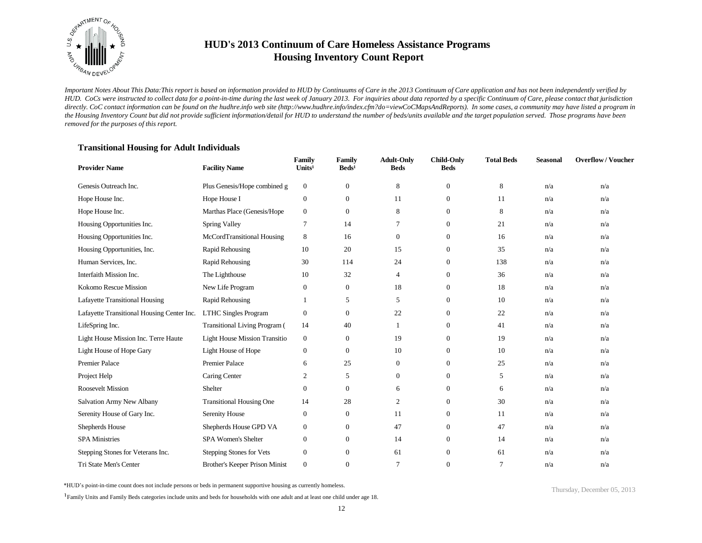

*Important Notes About This Data:This report is based on information provided to HUD by Continuums of Care in the 2013 Continuum of Care application and has not been independently verified by HUD. CoCs were instructed to collect data for a point-in-time during the last week of January 2013. For inquiries about data reported by a specific Continuum of Care, please contact that jurisdiction*  directly. CoC contact information can be found on the hudhre.info web site (http://www.hudhre.info/index.cfm?do=viewCoCMapsAndReports). In some cases, a community may have listed a program in *the Housing Inventory Count but did not provide sufficient information/detail for HUD to understand the number of beds/units available and the target population served. Those programs have been removed for the purposes of this report.*

#### **Transitional Housing for Adult Individuals**

| <b>Provider Name</b>                       | <b>Facility Name</b>                 | Family<br>Units <sup>1</sup> | Family<br>$\text{Beds}^1$ | <b>Adult-Only</b><br><b>Beds</b> | <b>Child-Only</b><br><b>Beds</b> | <b>Total Beds</b> | <b>Seasonal</b> | <b>Overflow/Voucher</b> |
|--------------------------------------------|--------------------------------------|------------------------------|---------------------------|----------------------------------|----------------------------------|-------------------|-----------------|-------------------------|
| Genesis Outreach Inc.                      | Plus Genesis/Hope combined g         | $\boldsymbol{0}$             | $\boldsymbol{0}$          | 8                                | $\mathbf{0}$                     | 8                 | n/a             | n/a                     |
| Hope House Inc.                            | Hope House I                         | $\boldsymbol{0}$             | $\mathbf{0}$              | 11                               | $\boldsymbol{0}$                 | 11                | n/a             | n/a                     |
| Hope House Inc.                            | Marthas Place (Genesis/Hope          | $\boldsymbol{0}$             | $\boldsymbol{0}$          | 8                                | $\theta$                         | 8                 | n/a             | n/a                     |
| Housing Opportunities Inc.                 | Spring Valley                        | $\overline{7}$               | 14                        | 7                                | $\overline{0}$                   | 21                | n/a             | n/a                     |
| Housing Opportunities Inc.                 | McCordTransitional Housing           | 8                            | 16                        | $\overline{0}$                   | $\overline{0}$                   | 16                | n/a             | n/a                     |
| Housing Opportunities, Inc.                | Rapid Rehousing                      | 10                           | 20                        | 15                               | $\theta$                         | 35                | n/a             | n/a                     |
| Human Services, Inc.                       | Rapid Rehousing                      | 30                           | 114                       | 24                               | $\overline{0}$                   | 138               | n/a             | n/a                     |
| Interfaith Mission Inc.                    | The Lighthouse                       | 10                           | 32                        | 4                                | $\overline{0}$                   | 36                | n/a             | n/a                     |
| Kokomo Rescue Mission                      | New Life Program                     | $\mathbf{0}$                 | $\mathbf{0}$              | 18                               | $\theta$                         | 18                | n/a             | n/a                     |
| Lafayette Transitional Housing             | Rapid Rehousing                      |                              | 5                         | 5                                | $\overline{0}$                   | 10                | n/a             | n/a                     |
| Lafayette Transitional Housing Center Inc. | <b>LTHC Singles Program</b>          | $\boldsymbol{0}$             | $\mathbf{0}$              | 22                               | $\mathbf{0}$                     | 22                | n/a             | n/a                     |
| LifeSpring Inc.                            | <b>Transitional Living Program (</b> | 14                           | 40                        |                                  | $\overline{0}$                   | 41                | n/a             | n/a                     |
| Light House Mission Inc. Terre Haute       | <b>Light House Mission Transitio</b> | $\boldsymbol{0}$             | $\boldsymbol{0}$          | 19                               | $\mathbf{0}$                     | 19                | n/a             | n/a                     |
| Light House of Hope Gary                   | Light House of Hope                  | $\boldsymbol{0}$             | $\boldsymbol{0}$          | 10                               | $\mathbf{0}$                     | 10                | n/a             | n/a                     |
| Premier Palace                             | <b>Premier Palace</b>                | 6                            | 25                        | $\overline{0}$                   | $\mathbf{0}$                     | 25                | n/a             | n/a                     |
| Project Help                               | Caring Center                        | 2                            | 5                         | $\overline{0}$                   | $\mathbf{0}$                     | 5                 | n/a             | n/a                     |
| <b>Roosevelt Mission</b>                   | Shelter                              | $\mathbf{0}$                 | $\mathbf{0}$              | 6                                | $\mathbf{0}$                     | 6                 | n/a             | n/a                     |
| Salvation Army New Albany                  | <b>Transitional Housing One</b>      | 14                           | 28                        | $\overline{c}$                   | $\mathbf{0}$                     | 30                | n/a             | n/a                     |
| Serenity House of Gary Inc.                | Serenity House                       | $\boldsymbol{0}$             | $\boldsymbol{0}$          | 11                               | $\boldsymbol{0}$                 | 11                | n/a             | n/a                     |
| Shepherds House                            | Shepherds House GPD VA               | $\boldsymbol{0}$             | $\mathbf{0}$              | 47                               | $\mathbf{0}$                     | 47                | n/a             | n/a                     |
| <b>SPA Ministries</b>                      | SPA Women's Shelter                  | $\boldsymbol{0}$             | $\mathbf{0}$              | 14                               | $\boldsymbol{0}$                 | 14                | n/a             | n/a                     |
| Stepping Stones for Veterans Inc.          | Stepping Stones for Vets             | $\boldsymbol{0}$             | $\boldsymbol{0}$          | 61                               | $\mathbf{0}$                     | 61                | n/a             | n/a                     |
| Tri State Men's Center                     | Brother's Keeper Prison Minist       | $\mathbf{0}$                 | $\mathbf{0}$              | 7                                | $\Omega$                         | 7                 | n/a             | n/a                     |

\*HUD's point-in-time count does not include persons or beds in permanent supportive housing as currently homeless.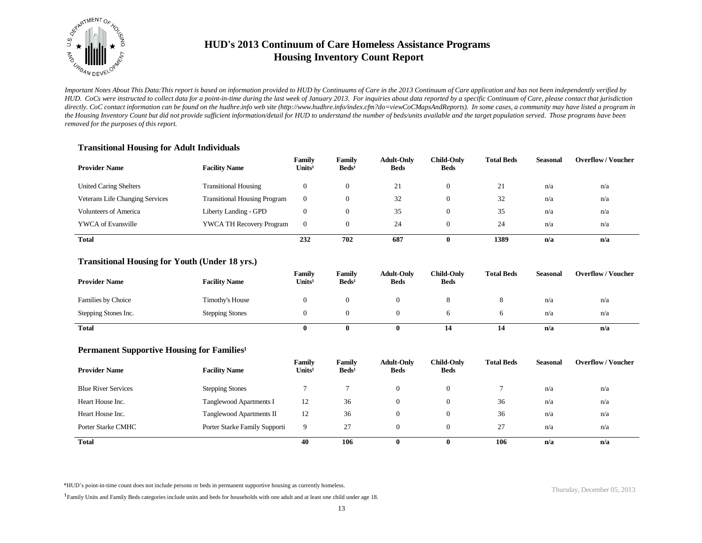

*Important Notes About This Data:This report is based on information provided to HUD by Continuums of Care in the 2013 Continuum of Care application and has not been independently verified by HUD. CoCs were instructed to collect data for a point-in-time during the last week of January 2013. For inquiries about data reported by a specific Continuum of Care, please contact that jurisdiction*  directly. CoC contact information can be found on the hudhre.info web site (http://www.hudhre.info/index.cfm?do=viewCoCMapsAndReports). In some cases, a community may have listed a program in *the Housing Inventory Count but did not provide sufficient information/detail for HUD to understand the number of beds/units available and the target population served. Those programs have been removed for the purposes of this report.*

#### **Transitional Housing for Adult Individuals**

| <b>Provider Name</b>            | <b>Facility Name</b>                | Family<br>Units <sup>1</sup> | Family<br>$\text{Beds}^1$ | <b>Adult-Only</b><br><b>Beds</b> | <b>Child-Only</b><br><b>Beds</b> | <b>Total Beds</b> | Seasonal | <b>Overflow/Voucher</b> |
|---------------------------------|-------------------------------------|------------------------------|---------------------------|----------------------------------|----------------------------------|-------------------|----------|-------------------------|
| United Caring Shelters          | <b>Transitional Housing</b>         |                              | 0                         | 21                               | 0                                | 21                | n/a      | n/a                     |
| Veterans Life Changing Services | <b>Transitional Housing Program</b> | $\theta$                     | $\theta$                  | 32                               | 0                                | 32                | n/a      | n/a                     |
| <b>Volunteers of America</b>    | Liberty Landing - GPD               |                              | $\theta$                  | 35                               |                                  | 35                | n/a      | n/a                     |
| <b>YWCA</b> of Evansville       | <b>YWCA TH Recovery Program</b>     | $\overline{0}$               | $\theta$                  | 24                               |                                  | 24                | n/a      | n/a                     |
| <b>Total</b>                    |                                     | 232                          | 702                       | 687                              |                                  | 1389              | n/a      | n/a                     |

#### **Transitional Housing for Youth (Under 18 yrs.)**

| <b>Provider Name</b> | <b>Facility Name</b>   | Family<br>Units <sup>1</sup> | Family<br>$\text{Beds}^1$ | <b>Adult-Only</b><br><b>Beds</b> | <b>Child-Only</b><br><b>Beds</b> | <b>Total Beds</b> | Seasonal | <b>Overflow/Voucher</b> |
|----------------------|------------------------|------------------------------|---------------------------|----------------------------------|----------------------------------|-------------------|----------|-------------------------|
| Families by Choice   | Timothy's House        |                              |                           |                                  |                                  | $\circ$           | n/a      | n/a                     |
| Stepping Stones Inc. | <b>Stepping Stones</b> |                              |                           |                                  |                                  | n                 | n/a      | n/a                     |
| <b>Total</b>         |                        | 0                            |                           |                                  | 14                               | 14                | n/a      | n/a                     |

#### **Permanent Supportive Housing for Families<sup>1</sup>**

| <b>Provider Name</b>       | <b>Facility Name</b>          | Family<br>Units <sup>1</sup> | Family<br>$\text{Beds}^1$ | <b>Adult-Only</b><br><b>Beds</b> | <b>Child-Only</b><br><b>Beds</b> | <b>Total Beds</b> | Seasonal | <b>Overflow / Voucher</b> |
|----------------------------|-------------------------------|------------------------------|---------------------------|----------------------------------|----------------------------------|-------------------|----------|---------------------------|
| <b>Blue River Services</b> | <b>Stepping Stones</b>        |                              |                           | $\Omega$                         | $\Omega$                         |                   | n/a      | n/a                       |
| Heart House Inc.           | Tanglewood Apartments I       | 12                           | 36                        | $\theta$                         | $\theta$                         | 36                | n/a      | n/a                       |
| Heart House Inc.           | Tanglewood Apartments II      | 12                           | 36                        | $\theta$                         | $\mathbf{0}$                     | 36                | n/a      | n/a                       |
| Porter Starke CMHC         | Porter Starke Family Supporti | 9                            | 27                        | $\Omega$                         | $\Omega$                         | 27                | n/a      | n/a                       |
| <b>Total</b>               |                               | 40                           | 106                       | $\bf{0}$                         | 0                                | 106               | n/a      | n/a                       |

\*HUD's point-in-time count does not include persons or beds in permanent supportive housing as currently homeless.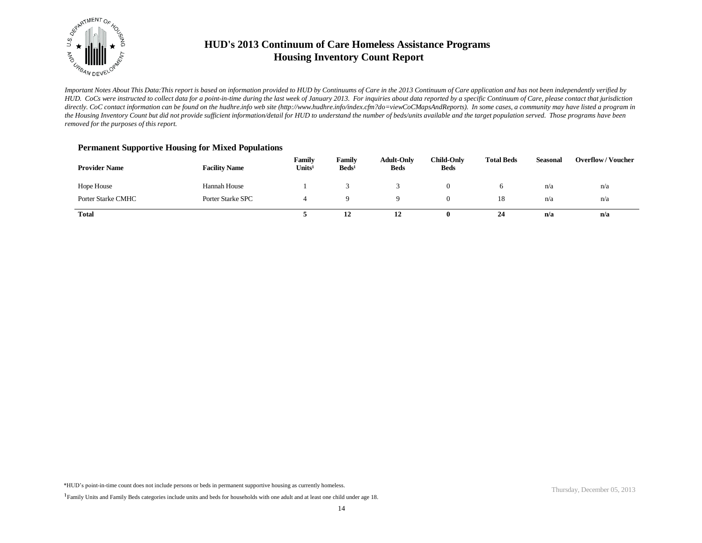

*Important Notes About This Data:This report is based on information provided to HUD by Continuums of Care in the 2013 Continuum of Care application and has not been independently verified by HUD. CoCs were instructed to collect data for a point-in-time during the last week of January 2013. For inquiries about data reported by a specific Continuum of Care, please contact that jurisdiction*  directly. CoC contact information can be found on the hudhre.info web site (http://www.hudhre.info/index.cfm?do=viewCoCMapsAndReports). In some cases, a community may have listed a program in *the Housing Inventory Count but did not provide sufficient information/detail for HUD to understand the number of beds/units available and the target population served. Those programs have been removed for the purposes of this report.*

#### **Permanent Supportive Housing for Mixed Populations**

| <b>Provider Name</b> | <b>Facility Name</b> | Family<br>Units <sup>1</sup> | Family<br>$\text{Beds}^1$ | <b>Adult-Only</b><br><b>Beds</b> | <b>Child-Only</b><br><b>Beds</b> | <b>Total Beds</b> | Seasonal | <b>Overflow/Voucher</b> |
|----------------------|----------------------|------------------------------|---------------------------|----------------------------------|----------------------------------|-------------------|----------|-------------------------|
| Hope House           | Hannah House         |                              |                           |                                  |                                  |                   | n/a      | n/a                     |
| Porter Starke CMHC   | Porter Starke SPC    |                              |                           |                                  |                                  | 18                | n/a      | n/a                     |
| Total                |                      |                              | 12                        | -14                              |                                  | 24                | n/a      | n/a                     |

<sup>&</sup>lt;sup>1</sup>Family Units and Family Beds categories include units and beds for households with one adult and at least one child under age 18.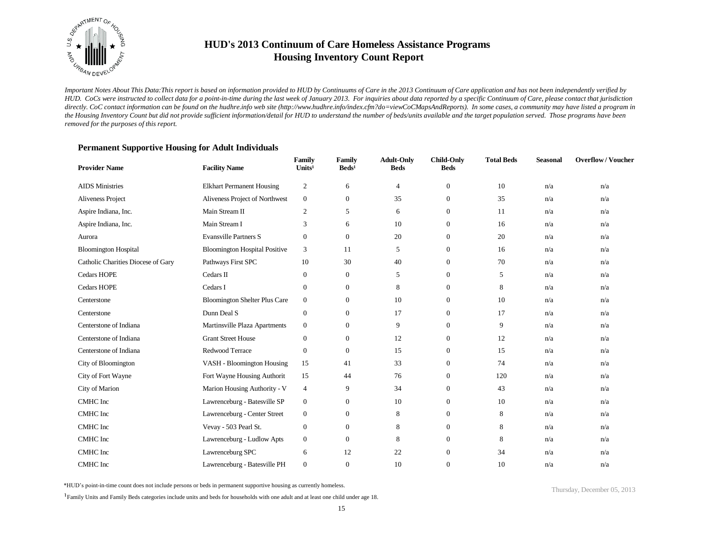

*Important Notes About This Data:This report is based on information provided to HUD by Continuums of Care in the 2013 Continuum of Care application and has not been independently verified by HUD. CoCs were instructed to collect data for a point-in-time during the last week of January 2013. For inquiries about data reported by a specific Continuum of Care, please contact that jurisdiction*  directly. CoC contact information can be found on the hudhre.info web site (http://www.hudhre.info/index.cfm?do=viewCoCMapsAndReports). In some cases, a community may have listed a program in *the Housing Inventory Count but did not provide sufficient information/detail for HUD to understand the number of beds/units available and the target population served. Those programs have been removed for the purposes of this report.*

| <b>Provider Name</b>               | <b>Facility Name</b>                 | Family<br>Units <sup>1</sup> | Family<br>Beds <sup>1</sup> | <b>Adult-Only</b><br><b>Beds</b> | <b>Child-Only</b><br><b>Beds</b> | <b>Total Beds</b> | <b>Seasonal</b> | <b>Overflow/Voucher</b> |
|------------------------------------|--------------------------------------|------------------------------|-----------------------------|----------------------------------|----------------------------------|-------------------|-----------------|-------------------------|
| <b>AIDS</b> Ministries             | <b>Elkhart Permanent Housing</b>     | 2                            | 6                           | $\overline{4}$                   | $\mathbf{0}$                     | 10                | n/a             | n/a                     |
| Aliveness Project                  | Aliveness Project of Northwest       | $\boldsymbol{0}$             | $\mathbf{0}$                | 35                               | $\boldsymbol{0}$                 | 35                | n/a             | n/a                     |
| Aspire Indiana, Inc.               | Main Stream II                       | $\overline{2}$               | 5                           | 6                                | $\mathbf{0}$                     | 11                | n/a             | n/a                     |
| Aspire Indiana, Inc.               | Main Stream I                        | 3                            | 6                           | 10                               | $\mathbf{0}$                     | 16                | n/a             | n/a                     |
| Aurora                             | <b>Evansville Partners S</b>         | $\boldsymbol{0}$             | $\mathbf{0}$                | 20                               | $\mathbf{0}$                     | 20                | n/a             | n/a                     |
| <b>Bloomington Hospital</b>        | <b>Bloomington Hospital Positive</b> | 3                            | 11                          | 5                                | $\overline{0}$                   | 16                | n/a             | n/a                     |
| Catholic Charities Diocese of Gary | Pathways First SPC                   | 10                           | 30                          | 40                               | $\mathbf{0}$                     | 70                | n/a             | n/a                     |
| Cedars HOPE                        | Cedars II                            | $\theta$                     | $\boldsymbol{0}$            | 5                                | $\mathbf{0}$                     | 5                 | n/a             | n/a                     |
| <b>Cedars HOPE</b>                 | Cedars I                             | $\mathbf{0}$                 | $\mathbf{0}$                | 8                                | $\mathbf{0}$                     | 8                 | n/a             | n/a                     |
| Centerstone                        | <b>Bloomington Shelter Plus Care</b> | $\boldsymbol{0}$             | $\boldsymbol{0}$            | 10                               | $\mathbf{0}$                     | 10                | n/a             | n/a                     |
| Centerstone                        | Dunn Deal S                          | $\mathbf{0}$                 | $\mathbf{0}$                | 17                               | $\overline{0}$                   | 17                | n/a             | n/a                     |
| Centerstone of Indiana             | Martinsville Plaza Apartments        | $\boldsymbol{0}$             | $\mathbf{0}$                | 9                                | $\overline{0}$                   | 9                 | n/a             | n/a                     |
| Centerstone of Indiana             | <b>Grant Street House</b>            | $\boldsymbol{0}$             | $\boldsymbol{0}$            | 12                               | $\boldsymbol{0}$                 | 12                | n/a             | n/a                     |
| Centerstone of Indiana             | Redwood Terrace                      | $\boldsymbol{0}$             | $\mathbf{0}$                | 15                               | $\boldsymbol{0}$                 | 15                | n/a             | n/a                     |
| City of Bloomington                | <b>VASH - Bloomington Housing</b>    | 15                           | 41                          | 33                               | $\boldsymbol{0}$                 | 74                | n/a             | n/a                     |
| City of Fort Wayne                 | Fort Wayne Housing Authorit          | 15                           | 44                          | 76                               | $\boldsymbol{0}$                 | 120               | n/a             | n/a                     |
| City of Marion                     | Marion Housing Authority - V         | 4                            | 9                           | 34                               | $\overline{0}$                   | 43                | n/a             | n/a                     |
| CMHC Inc                           | Lawrenceburg - Batesville SP         | $\boldsymbol{0}$             | $\boldsymbol{0}$            | 10                               | $\overline{0}$                   | 10                | n/a             | n/a                     |
| CMHC Inc                           | Lawrenceburg - Center Street         | $\boldsymbol{0}$             | $\mathbf{0}$                | 8                                | 0                                | 8                 | n/a             | n/a                     |
| CMHC Inc                           | Vevay - 503 Pearl St.                | $\boldsymbol{0}$             | $\boldsymbol{0}$            | 8                                | $\boldsymbol{0}$                 | 8                 | n/a             | n/a                     |
| <b>CMHC</b> Inc                    | Lawrenceburg - Ludlow Apts           | $\boldsymbol{0}$             | $\mathbf{0}$                | 8                                | $\mathbf{0}$                     | 8                 | n/a             | n/a                     |
| CMHC Inc                           | Lawrenceburg SPC                     | 6                            | 12                          | 22                               | $\mathbf{0}$                     | 34                | n/a             | n/a                     |
| <b>CMHC</b> Inc                    | Lawrenceburg - Batesville PH         | $\mathbf{0}$                 | $\mathbf{0}$                | 10                               | $\Omega$                         | 10                | n/a             | n/a                     |

#### **Permanent Supportive Housing for Adult Individuals**

\*HUD's point-in-time count does not include persons or beds in permanent supportive housing as currently homeless.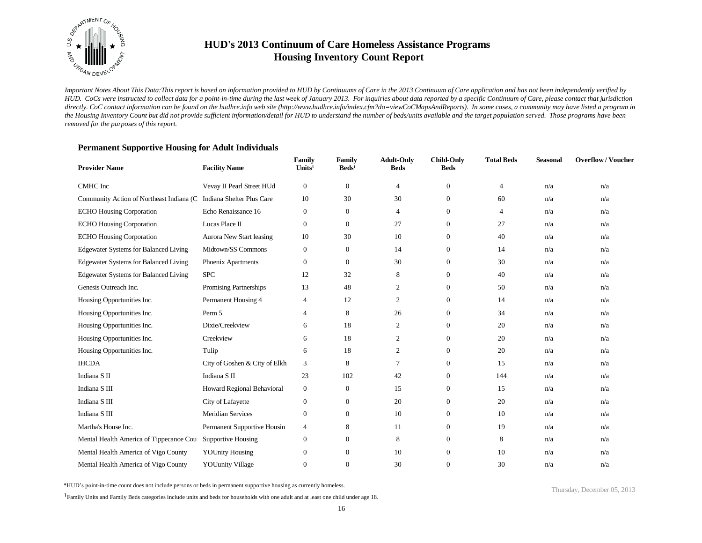

*Important Notes About This Data:This report is based on information provided to HUD by Continuums of Care in the 2013 Continuum of Care application and has not been independently verified by HUD. CoCs were instructed to collect data for a point-in-time during the last week of January 2013. For inquiries about data reported by a specific Continuum of Care, please contact that jurisdiction*  directly. CoC contact information can be found on the hudhre.info web site (http://www.hudhre.info/index.cfm?do=viewCoCMapsAndReports). In some cases, a community may have listed a program in *the Housing Inventory Count but did not provide sufficient information/detail for HUD to understand the number of beds/units available and the target population served. Those programs have been removed for the purposes of this report.*

| <b>Provider Name</b>                                               | <b>Facility Name</b>          | Family<br>Units <sup>1</sup> | Family<br>$\text{Beds}^1$ | <b>Adult-Only</b><br><b>Beds</b> | <b>Child-Only</b><br><b>Beds</b> | <b>Total Beds</b> | <b>Seasonal</b> | <b>Overflow/Voucher</b> |
|--------------------------------------------------------------------|-------------------------------|------------------------------|---------------------------|----------------------------------|----------------------------------|-------------------|-----------------|-------------------------|
| CMHC Inc                                                           | Vevay II Pearl Street HUd     | $\boldsymbol{0}$             | $\mathbf{0}$              | $\overline{4}$                   | $\mathbf{0}$                     | $\overline{4}$    | n/a             | n/a                     |
| Community Action of Northeast Indiana (C Indiana Shelter Plus Care |                               | 10                           | 30                        | 30                               | $\mathbf{0}$                     | 60                | n/a             | n/a                     |
| <b>ECHO Housing Corporation</b>                                    | Echo Renaissance 16           | $\mathbf{0}$                 | $\mathbf{0}$              | $\overline{4}$                   | $\mathbf{0}$                     | $\overline{4}$    | n/a             | n/a                     |
| <b>ECHO Housing Corporation</b>                                    | Lucas Place II                | $\mathbf{0}$                 | $\boldsymbol{0}$          | 27                               | $\overline{0}$                   | 27                | n/a             | n/a                     |
| <b>ECHO Housing Corporation</b>                                    | Aurora New Start leasing      | 10                           | 30                        | 10                               | $\overline{0}$                   | 40                | n/a             | n/a                     |
| <b>Edgewater Systems for Balanced Living</b>                       | Midtown/SS Commons            | $\mathbf{0}$                 | $\boldsymbol{0}$          | 14                               | $\mathbf{0}$                     | 14                | n/a             | n/a                     |
| <b>Edgewater Systems for Balanced Living</b>                       | Phoenix Apartments            | $\theta$                     | $\boldsymbol{0}$          | 30                               | $\overline{0}$                   | 30                | n/a             | n/a                     |
| <b>Edgewater Systems for Balanced Living</b>                       | <b>SPC</b>                    | 12                           | 32                        | 8                                | $\mathbf{0}$                     | 40                | n/a             | n/a                     |
| Genesis Outreach Inc.                                              | Promising Partnerships        | 13                           | 48                        | 2                                | $\mathbf{0}$                     | 50                | n/a             | n/a                     |
| Housing Opportunities Inc.                                         | Permanent Housing 4           | $\overline{4}$               | 12                        | 2                                | $\overline{0}$                   | 14                | n/a             | n/a                     |
| Housing Opportunities Inc.                                         | Perm 5                        | $\overline{4}$               | 8                         | 26                               | $\overline{0}$                   | 34                | n/a             | n/a                     |
| Housing Opportunities Inc.                                         | Dixie/Creekview               | 6                            | 18                        | 2                                | $\overline{0}$                   | 20                | n/a             | n/a                     |
| Housing Opportunities Inc.                                         | Creekview                     | 6                            | 18                        | $\mathfrak{2}$                   | $\overline{0}$                   | 20                | n/a             | n/a                     |
| Housing Opportunities Inc.                                         | Tulip                         | 6                            | 18                        | 2                                | $\overline{0}$                   | 20                | n/a             | n/a                     |
| <b>IHCDA</b>                                                       | City of Goshen & City of Elkh | 3                            | 8                         | 7                                | $\mathbf{0}$                     | 15                | n/a             | n/a                     |
| Indiana S <sub>II</sub>                                            | Indiana S II                  | 23                           | 102                       | 42                               | $\overline{0}$                   | 144               | n/a             | n/a                     |
| Indiana S III                                                      | Howard Regional Behavioral    | $\boldsymbol{0}$             | $\boldsymbol{0}$          | 15                               | $\theta$                         | 15                | n/a             | n/a                     |
| Indiana S III                                                      | City of Lafayette             | $\boldsymbol{0}$             | $\boldsymbol{0}$          | 20                               | $\mathbf{0}$                     | 20                | n/a             | n/a                     |
| Indiana S III                                                      | <b>Meridian Services</b>      | $\boldsymbol{0}$             | $\boldsymbol{0}$          | 10                               | $\overline{0}$                   | 10                | n/a             | n/a                     |
| Martha's House Inc.                                                | Permanent Supportive Housin   | $\overline{4}$               | 8                         | 11                               | $\mathbf{0}$                     | 19                | n/a             | n/a                     |
| Mental Health America of Tippecanoe Cou                            | Supportive Housing            | $\boldsymbol{0}$             | $\boldsymbol{0}$          | 8                                | $\overline{0}$                   | 8                 | n/a             | n/a                     |
| Mental Health America of Vigo County                               | <b>YOUnity Housing</b>        | $\boldsymbol{0}$             | $\boldsymbol{0}$          | 10                               | $\mathbf{0}$                     | 10                | n/a             | n/a                     |
| Mental Health America of Vigo County                               | <b>YOUunity Village</b>       | $\theta$                     | $\mathbf{0}$              | 30                               | $\Omega$                         | 30                | n/a             | n/a                     |

\*HUD's point-in-time count does not include persons or beds in permanent supportive housing as currently homeless.

<sup>1</sup>Family Units and Family Beds categories include units and beds for households with one adult and at least one child under age 18.

Thursday, December 05, 2013